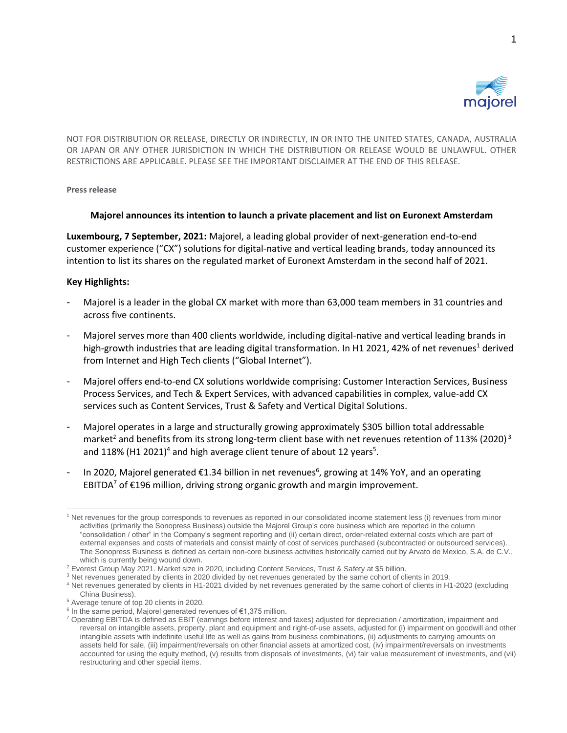

NOT FOR DISTRIBUTION OR RELEASE, DIRECTLY OR INDIRECTLY, IN OR INTO THE UNITED STATES, CANADA, AUSTRALIA OR JAPAN OR ANY OTHER JURISDICTION IN WHICH THE DISTRIBUTION OR RELEASE WOULD BE UNLAWFUL. OTHER RESTRICTIONS ARE APPLICABLE. PLEASE SEE THE IMPORTANT DISCLAIMER AT THE END OF THIS RELEASE.

**Press release**

## **Majorel announces its intention to launch a private placement and list on Euronext Amsterdam**

**Luxembourg, 7 September, 2021:** Majorel, a leading global provider of next-generation end-to-end customer experience ("CX") solutions for digital-native and vertical leading brands, today announced its intention to list its shares on the regulated market of Euronext Amsterdam in the second half of 2021.

## **Key Highlights:**

- Majorel is a leader in the global CX market with more than 63,000 team members in 31 countries and across five continents.
- Majorel serves more than 400 clients worldwide, including digital-native and vertical leading brands in high-growth industries that are leading digital transformation. In H1 2021, 42% of net revenues<sup>1</sup> derived from Internet and High Tech clients ("Global Internet").
- Majorel offers end-to-end CX solutions worldwide comprising: Customer Interaction Services, Business Process Services, and Tech & Expert Services, with advanced capabilities in complex, value-add CX services such as Content Services, Trust & Safety and Vertical Digital Solutions.
- Majorel operates in a large and structurally growing approximately \$305 billion total addressable market<sup>2</sup> and benefits from its strong long-term client base with net revenues retention of 113% (2020)<sup>3</sup> and 118% (H1 2021)<sup>4</sup> and high average client tenure of about 12 years<sup>5</sup>.
- In 2020, Majorel generated €1.34 billion in net revenues<sup>6</sup>, growing at 14% YoY, and an operating EBITDA<sup>7</sup> of €196 million, driving strong organic growth and margin improvement.

<sup>&</sup>lt;sup>1</sup> Net revenues for the group corresponds to revenues as reported in our consolidated income statement less (i) revenues from minor activities (primarily the Sonopress Business) outside the Majorel Group's core business which are reported in the column "consolidation / other" in the Company's segment reporting and (ii) certain direct, order-related external costs which are part of external expenses and costs of materials and consist mainly of cost of services purchased (subcontracted or outsourced services). The Sonopress Business is defined as certain non-core business activities historically carried out by Arvato de Mexico, S.A. de C.V., which is currently being wound down.

<sup>2</sup> Everest Group May 2021. Market size in 2020, including Content Services, Trust & Safety at \$5 billion.

<sup>&</sup>lt;sup>3</sup> Net revenues generated by clients in 2020 divided by net revenues generated by the same cohort of clients in 2019.

<sup>4</sup> Net revenues generated by clients in H1-2021 divided by net revenues generated by the same cohort of clients in H1-2020 (excluding China Business).

<sup>&</sup>lt;sup>5</sup> Average tenure of top 20 clients in 2020.

 $6$  In the same period, Majorel generated revenues of €1,375 million.

<sup>7</sup> Operating EBITDA is defined as EBIT (earnings before interest and taxes) adjusted for depreciation / amortization, impairment and reversal on intangible assets, property, plant and equipment and right-of-use assets, adjusted for (i) impairment on goodwill and other intangible assets with indefinite useful life as well as gains from business combinations, (ii) adjustments to carrying amounts on assets held for sale, (iii) impairment/reversals on other financial assets at amortized cost, (iv) impairment/reversals on investments accounted for using the equity method, (v) results from disposals of investments, (vi) fair value measurement of investments, and (vii) restructuring and other special items.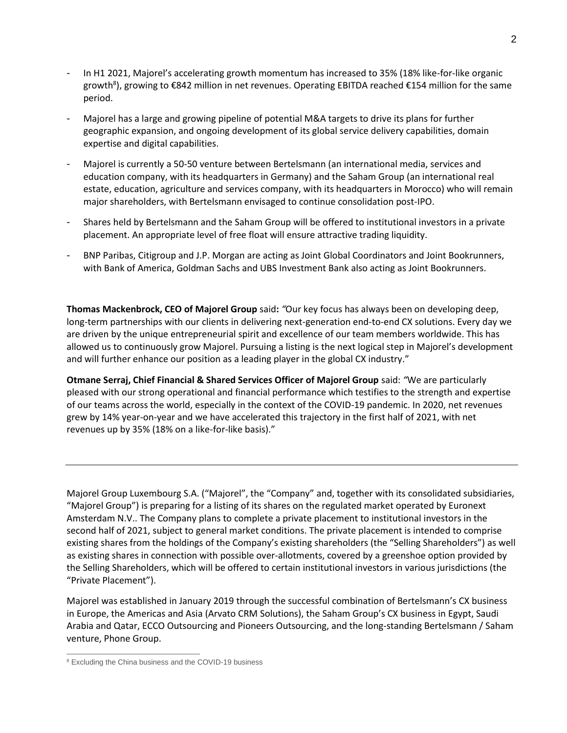- In H1 2021, Majorel's accelerating growth momentum has increased to 35% (18% like-for-like organic growth<sup>8</sup>), growing to €842 million in net revenues. Operating EBITDA reached €154 million for the same period.
- Majorel has a large and growing pipeline of potential M&A targets to drive its plans for further geographic expansion, and ongoing development of its global service delivery capabilities, domain expertise and digital capabilities.
- Majorel is currently a 50-50 venture between Bertelsmann (an international media, services and education company, with its headquarters in Germany) and the Saham Group (an international real estate, education, agriculture and services company, with its headquarters in Morocco) who will remain major shareholders, with Bertelsmann envisaged to continue consolidation post-IPO.
- Shares held by Bertelsmann and the Saham Group will be offered to institutional investors in a private placement. An appropriate level of free float will ensure attractive trading liquidity.
- BNP Paribas, Citigroup and J.P. Morgan are acting as Joint Global Coordinators and Joint Bookrunners, with Bank of America, Goldman Sachs and UBS Investment Bank also acting as Joint Bookrunners.

**Thomas Mackenbrock, CEO of Majorel Group** said**:** *"*Our key focus has always been on developing deep, long-term partnerships with our clients in delivering next-generation end-to-end CX solutions. Every day we are driven by the unique entrepreneurial spirit and excellence of our team members worldwide. This has allowed us to continuously grow Majorel. Pursuing a listing is the next logical step in Majorel's development and will further enhance our position as a leading player in the global CX industry."

**Otmane Serraj, Chief Financial & Shared Services Officer of Majorel Group** said: *"*We are particularly pleased with our strong operational and financial performance which testifies to the strength and expertise of our teams across the world, especially in the context of the COVID-19 pandemic. In 2020, net revenues grew by 14% year-on-year and we have accelerated this trajectory in the first half of 2021, with net revenues up by 35% (18% on a like-for-like basis)."

Majorel Group Luxembourg S.A. ("Majorel", the "Company" and, together with its consolidated subsidiaries, "Majorel Group") is preparing for a listing of its shares on the regulated market operated by Euronext Amsterdam N.V.. The Company plans to complete a private placement to institutional investors in the second half of 2021, subject to general market conditions. The private placement is intended to comprise existing shares from the holdings of the Company's existing shareholders (the "Selling Shareholders") as well as existing shares in connection with possible over-allotments, covered by a greenshoe option provided by the Selling Shareholders, which will be offered to certain institutional investors in various jurisdictions (the "Private Placement").

Majorel was established in January 2019 through the successful combination of Bertelsmann's CX business in Europe, the Americas and Asia (Arvato CRM Solutions), the Saham Group's CX business in Egypt, Saudi Arabia and Qatar, ECCO Outsourcing and Pioneers Outsourcing, and the long-standing Bertelsmann / Saham venture, Phone Group.

<sup>&</sup>lt;sup>8</sup> Excluding the China business and the COVID-19 business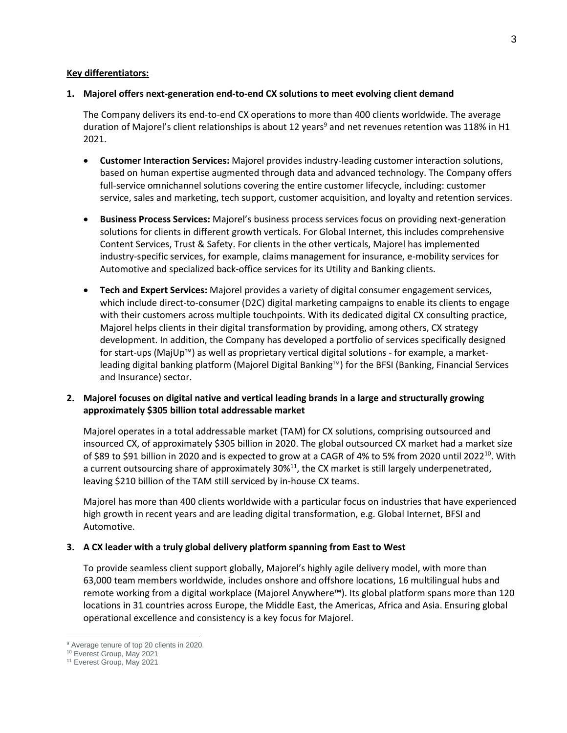## **Key differentiators:**

## **1. Majorel offers next-generation end-to-end CX solutions to meet evolving client demand**

The Company delivers its end-to-end CX operations to more than 400 clients worldwide. The average duration of Majorel's client relationships is about 12 years<sup>9</sup> and net revenues retention was 118% in H1 2021.

- **Customer Interaction Services:** Majorel provides industry-leading customer interaction solutions, based on human expertise augmented through data and advanced technology. The Company offers full-service omnichannel solutions covering the entire customer lifecycle, including: customer service, sales and marketing, tech support, customer acquisition, and loyalty and retention services.
- **Business Process Services:** Majorel's business process services focus on providing next-generation solutions for clients in different growth verticals. For Global Internet, this includes comprehensive Content Services, Trust & Safety. For clients in the other verticals, Majorel has implemented industry-specific services, for example, claims management for insurance, e-mobility services for Automotive and specialized back-office services for its Utility and Banking clients.
- **Tech and Expert Services:** Majorel provides a variety of digital consumer engagement services, which include direct-to-consumer (D2C) digital marketing campaigns to enable its clients to engage with their customers across multiple touchpoints. With its dedicated digital CX consulting practice, Majorel helps clients in their digital transformation by providing, among others, CX strategy development. In addition, the Company has developed a portfolio of services specifically designed for start-ups (MajUp™) as well as proprietary vertical digital solutions - for example, a marketleading digital banking platform (Majorel Digital Banking™) for the BFSI (Banking, Financial Services and Insurance) sector.

# **2. Majorel focuses on digital native and vertical leading brands in a large and structurally growing approximately \$305 billion total addressable market**

Majorel operates in a total addressable market (TAM) for CX solutions, comprising outsourced and insourced CX, of approximately \$305 billion in 2020. The global outsourced CX market had a market size of \$89 to \$91 billion in 2020 and is expected to grow at a CAGR of 4% to 5% from 2020 until 2022<sup>10</sup>. With a current outsourcing share of approximately 30%<sup>11</sup>, the CX market is still largely underpenetrated, leaving \$210 billion of the TAM still serviced by in-house CX teams.

Majorel has more than 400 clients worldwide with a particular focus on industries that have experienced high growth in recent years and are leading digital transformation, e.g. Global Internet, BFSI and Automotive.

## **3. A CX leader with a truly global delivery platform spanning from East to West**

To provide seamless client support globally, Majorel's highly agile delivery model, with more than 63,000 team members worldwide, includes onshore and offshore locations, 16 multilingual hubs and remote working from a digital workplace (Majorel Anywhere™). Its global platform spans more than 120 locations in 31 countries across Europe, the Middle East, the Americas, Africa and Asia. Ensuring global operational excellence and consistency is a key focus for Majorel.

<sup>&</sup>lt;sup>9</sup> Average tenure of top 20 clients in 2020.

<sup>10</sup> Everest Group, May 2021

<sup>11</sup> Everest Group, May 2021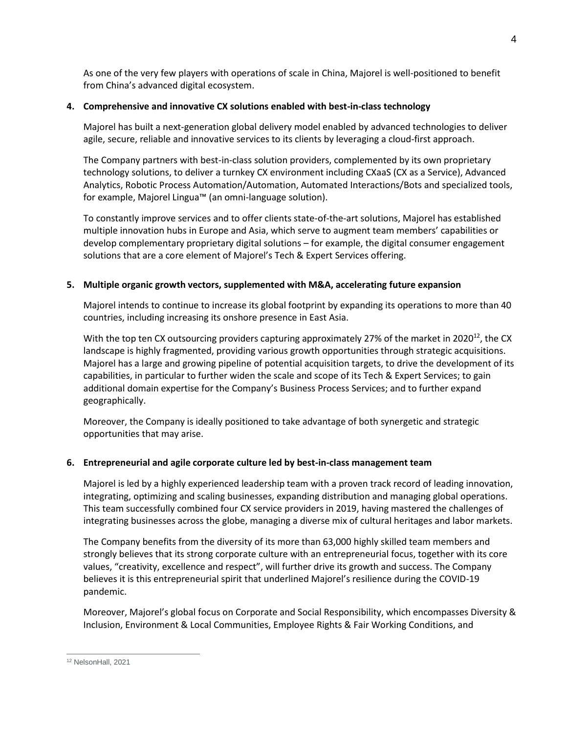As one of the very few players with operations of scale in China, Majorel is well-positioned to benefit from China's advanced digital ecosystem.

# **4. Comprehensive and innovative CX solutions enabled with best-in-class technology**

Majorel has built a next-generation global delivery model enabled by advanced technologies to deliver agile, secure, reliable and innovative services to its clients by leveraging a cloud-first approach.

The Company partners with best-in-class solution providers, complemented by its own proprietary technology solutions, to deliver a turnkey CX environment including CXaaS (CX as a Service), Advanced Analytics, Robotic Process Automation/Automation, Automated Interactions/Bots and specialized tools, for example, Majorel Lingua™ (an omni-language solution).

To constantly improve services and to offer clients state-of-the-art solutions, Majorel has established multiple innovation hubs in Europe and Asia, which serve to augment team members' capabilities or develop complementary proprietary digital solutions – for example, the digital consumer engagement solutions that are a core element of Majorel's Tech & Expert Services offering.

# **5. Multiple organic growth vectors, supplemented with M&A, accelerating future expansion**

Majorel intends to continue to increase its global footprint by expanding its operations to more than 40 countries, including increasing its onshore presence in East Asia.

With the top ten CX outsourcing providers capturing approximately 27% of the market in 2020<sup>12</sup>, the CX landscape is highly fragmented, providing various growth opportunities through strategic acquisitions. Majorel has a large and growing pipeline of potential acquisition targets, to drive the development of its capabilities, in particular to further widen the scale and scope of its Tech & Expert Services; to gain additional domain expertise for the Company's Business Process Services; and to further expand geographically.

Moreover, the Company is ideally positioned to take advantage of both synergetic and strategic opportunities that may arise.

# **6. Entrepreneurial and agile corporate culture led by best-in-class management team**

Majorel is led by a highly experienced leadership team with a proven track record of leading innovation, integrating, optimizing and scaling businesses, expanding distribution and managing global operations. This team successfully combined four CX service providers in 2019, having mastered the challenges of integrating businesses across the globe, managing a diverse mix of cultural heritages and labor markets.

The Company benefits from the diversity of its more than 63,000 highly skilled team members and strongly believes that its strong corporate culture with an entrepreneurial focus, together with its core values, "creativity, excellence and respect", will further drive its growth and success. The Company believes it is this entrepreneurial spirit that underlined Majorel's resilience during the COVID-19 pandemic.

Moreover, Majorel's global focus on Corporate and Social Responsibility, which encompasses Diversity & Inclusion, Environment & Local Communities, Employee Rights & Fair Working Conditions, and

<sup>12</sup> NelsonHall, 2021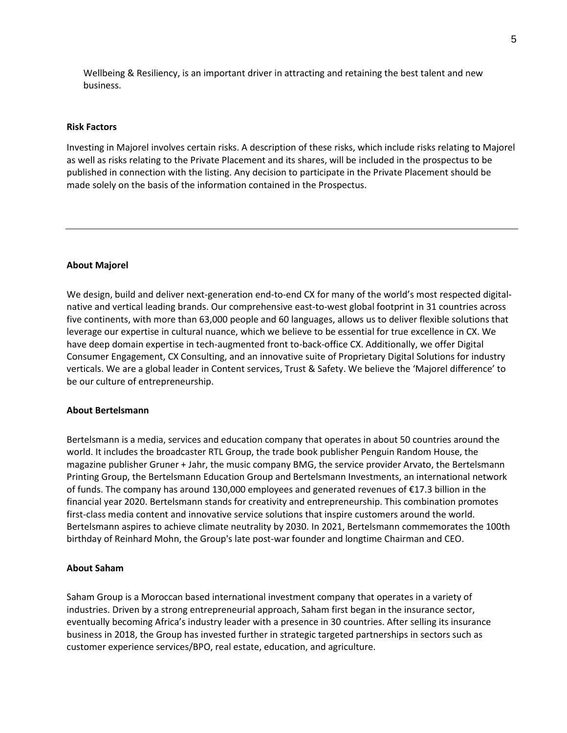Wellbeing & Resiliency, is an important driver in attracting and retaining the best talent and new business.

### **Risk Factors**

Investing in Majorel involves certain risks. A description of these risks, which include risks relating to Majorel as well as risks relating to the Private Placement and its shares, will be included in the prospectus to be published in connection with the listing. Any decision to participate in the Private Placement should be made solely on the basis of the information contained in the Prospectus.

### **About Majorel**

We design, build and deliver next-generation end-to-end CX for many of the world's most respected digitalnative and vertical leading brands. Our comprehensive east-to-west global footprint in 31 countries across five continents, with more than 63,000 people and 60 languages, allows us to deliver flexible solutions that leverage our expertise in cultural nuance, which we believe to be essential for true excellence in CX. We have deep domain expertise in tech-augmented front to-back-office CX. Additionally, we offer Digital Consumer Engagement, CX Consulting, and an innovative suite of Proprietary Digital Solutions for industry verticals. We are a global leader in Content services, Trust & Safety. We believe the 'Majorel difference' to be our culture of entrepreneurship.

### **About Bertelsmann**

Bertelsmann is a media, services and education company that operates in about 50 countries around the world. It includes the broadcaster RTL Group, the trade book publisher Penguin Random House, the magazine publisher Gruner + Jahr, the music company BMG, the service provider Arvato, the Bertelsmann Printing Group, the Bertelsmann Education Group and Bertelsmann Investments, an international network of funds. The company has around 130,000 employees and generated revenues of €17.3 billion in the financial year 2020. Bertelsmann stands for creativity and entrepreneurship. This combination promotes first-class media content and innovative service solutions that inspire customers around the world. Bertelsmann aspires to achieve climate neutrality by 2030. In 2021, Bertelsmann commemorates the 100th birthday of Reinhard Mohn, the Group's late post-war founder and longtime Chairman and CEO.

### **About Saham**

Saham Group is a Moroccan based international investment company that operates in a variety of industries. Driven by a strong entrepreneurial approach, Saham first began in the insurance sector, eventually becoming Africa's industry leader with a presence in 30 countries. After selling its insurance business in 2018, the Group has invested further in strategic targeted partnerships in sectors such as customer experience services/BPO, real estate, education, and agriculture.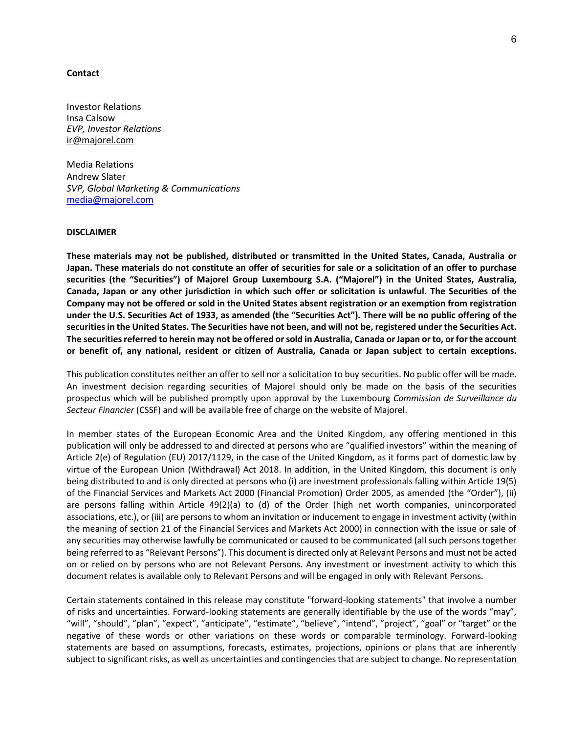#### **Contact**

Investor Relations Insa Calsow *EVP, Investor Relations*  [ir@majorel.com](mailto:insa.calsow@majorel.com)

Media Relations Andrew Slater *SVP, Global Marketing & Communications* [media@majorel.com](mailto:media@majorel.com)

### **DISCLAIMER**

**These materials may not be published, distributed or transmitted in the United States, Canada, Australia or** Japan. These materials do not constitute an offer of securities for sale or a solicitation of an offer to purchase **securities (the "Securities") of Majorel Group Luxembourg S.A. ("Majorel") in the United States, Australia,** Canada, Japan or any other jurisdiction in which such offer or solicitation is unlawful. The Securities of the Company may not be offered or sold in the United States absent registration or an exemption from registration under the U.S. Securities Act of 1933, as amended (the "Securities Act"). There will be no public offering of the securities in the United States. The Securities have not been, and will not be, registered under the Securities Act. The securities referred to herein may not be offered or sold in Australia, Canada or Japan or to, or for the account or benefit of, any national, resident or citizen of Australia, Canada or Japan subject to certain exceptions.

This publication constitutes neither an offer to sell nor a solicitation to buy securities. No public offer will be made. An investment decision regarding securities of Majorel should only be made on the basis of the securities prospectus which will be published promptly upon approval by the Luxembourg *Commission de Surveillance du Secteur Financier* (CSSF) and will be available free of charge on the website of Majorel.

In member states of the European Economic Area and the United Kingdom, any offering mentioned in this publication will only be addressed to and directed at persons who are "qualified investors" within the meaning of Article 2(e) of Regulation (EU) 2017/1129, in the case of the United Kingdom, as it forms part of domestic law by virtue of the European Union (Withdrawal) Act 2018. In addition, in the United Kingdom, this document is only being distributed to and is only directed at persons who (i) are investment professionals falling within Article 19(5) of the Financial Services and Markets Act 2000 (Financial Promotion) Order 2005, as amended (the "Order"), (ii) are persons falling within Article 49(2)(a) to (d) of the Order (high net worth companies, unincorporated associations, etc.), or (iii) are persons to whom an invitation or inducement to engage in investment activity (within the meaning of section 21 of the Financial Services and Markets Act 2000) in connection with the issue or sale of any securities may otherwise lawfully be communicated or caused to be communicated (all such persons together being referred to as "Relevant Persons"). This document is directed only at Relevant Persons and must not be acted on or relied on by persons who are not Relevant Persons. Any investment or investment activity to which this document relates is available only to Relevant Persons and will be engaged in only with Relevant Persons.

Certain statements contained in this release may constitute "forward-looking statements" that involve a number of risks and uncertainties. Forward-looking statements are generally identifiable by the use of the words "may", "will", "should", "plan", "expect", "anticipate", "estimate", "believe", "intend", "project", "goal" or "target" or the negative of these words or other variations on these words or comparable terminology. Forward-looking statements are based on assumptions, forecasts, estimates, projections, opinions or plans that are inherently subject to significant risks, as well as uncertainties and contingencies that are subject to change. No representation